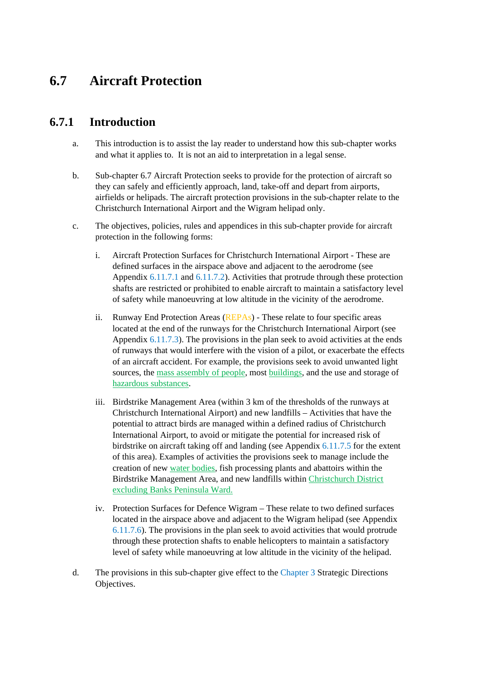# **6.7 Aircraft Protection**

# **6.7.1 Introduction**

- a. This introduction is to assist the lay reader to understand how this sub-chapter works and what it applies to. It is not an aid to interpretation in a legal sense.
- b. Sub-chapter 6.7 Aircraft Protection seeks to provide for the protection of aircraft so they can safely and efficiently approach, land, take-off and depart from airports, airfields or helipads. The aircraft protection provisions in the sub-chapter relate to the Christchurch International Airport and the Wigram helipad only.
- c. The objectives, policies, rules and appendices in this sub-chapter provide for aircraft protection in the following forms:
	- i. Aircraft Protection Surfaces for Christchurch International Airport These are defined surfaces in the airspace above and adjacent to the aerodrome (see Appendix 6.11.7.1 and 6.11.7.2). Activities that protrude through these protection shafts are restricted or prohibited to enable aircraft to maintain a satisfactory level of safety while manoeuvring at low altitude in the vicinity of the aerodrome.
	- ii. Runway End Protection Areas (REPAs) These relate to four specific areas located at the end of the runways for the Christchurch International Airport (see Appendix 6.11.7.3). The provisions in the plan seek to avoid activities at the ends of runways that would interfere with the vision of a pilot, or exacerbate the effects of an aircraft accident. For example, the provisions seek to avoid unwanted light sources, the mass assembly of people, most buildings, and the use and storage of hazardous substances.
	- iii. Birdstrike Management Area (within 3 km of the thresholds of the runways at Christchurch International Airport) and new landfills – Activities that have the potential to attract birds are managed within a defined radius of Christchurch International Airport, to avoid or mitigate the potential for increased risk of birdstrike on aircraft taking off and landing (see Appendix 6.11.7.5 for the extent of this area). Examples of activities the provisions seek to manage include the creation of new water bodies, fish processing plants and abattoirs within the Birdstrike Management Area, and new landfills within Christchurch District excluding Banks Peninsula Ward.
	- iv. Protection Surfaces for Defence Wigram These relate to two defined surfaces located in the airspace above and adjacent to the Wigram helipad (see Appendix 6.11.7.6). The provisions in the plan seek to avoid activities that would protrude through these protection shafts to enable helicopters to maintain a satisfactory level of safety while manoeuvring at low altitude in the vicinity of the helipad.
- d. The provisions in this sub-chapter give effect to the Chapter 3 Strategic Directions Objectives.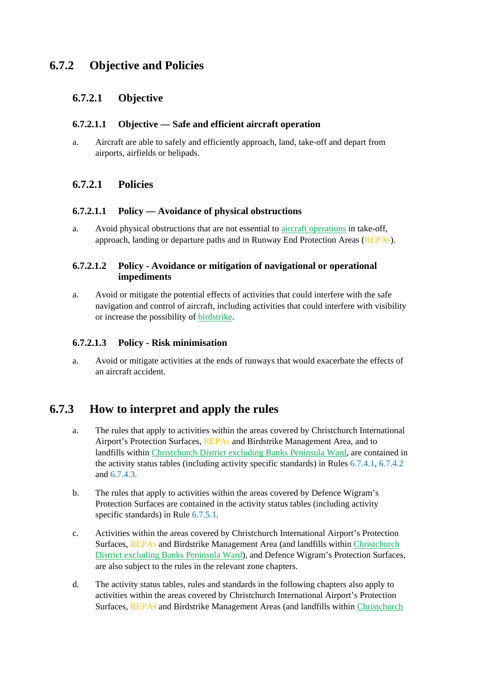# **6.7.2 Objective and Policies**

## **6.7.2.1 Objective**

#### **6.7.2.1.1 Objective — Safe and efficient aircraft operation**

a. Aircraft are able to safely and efficiently approach, land, take-off and depart from airports, airfields or helipads.

## **6.7.2.1 Policies**

#### **6.7.2.1.1 Policy — Avoidance of physical obstructions**

a. Avoid physical obstructions that are not essential to aircraft operations in take-off, approach, landing or departure paths and in Runway End Protection Areas (REPAs).

#### **6.7.2.1.2 Policy - Avoidance or mitigation of navigational or operational impediments**

a. Avoid or mitigate the potential effects of activities that could interfere with the safe navigation and control of aircraft, including activities that could interfere with visibility or increase the possibility of birdstrike.

#### **6.7.2.1.3 Policy - Risk minimisation**

a. Avoid or mitigate activities at the ends of runways that would exacerbate the effects of an aircraft accident.

# **6.7.3 How to interpret and apply the rules**

- a. The rules that apply to activities within the areas covered by Christchurch International Airport's Protection Surfaces, REPAs and Birdstrike Management Area, and to landfills within Christchurch District excluding Banks Peninsula Ward, are contained in the activity status tables (including activity specific standards) in Rules 6.7.4.1, 6.7.4.2 and 6.7.4.3.
- b. The rules that apply to activities within the areas covered by Defence Wigram's Protection Surfaces are contained in the activity status tables (including activity specific standards) in Rule  $6.7.5.1$ .
- c. Activities within the areas covered by Christchurch International Airport's Protection Surfaces, REPAs and Birdstrike Management Area (and landfills within Christchurch District excluding Banks Peninsula Ward), and Defence Wigram's Protection Surfaces, are also subject to the rules in the relevant zone chapters.
- d. The activity status tables, rules and standards in the following chapters also apply to activities within the areas covered by Christchurch International Airport's Protection Surfaces, REPAs and Birdstrike Management Areas (and landfills within Christchurch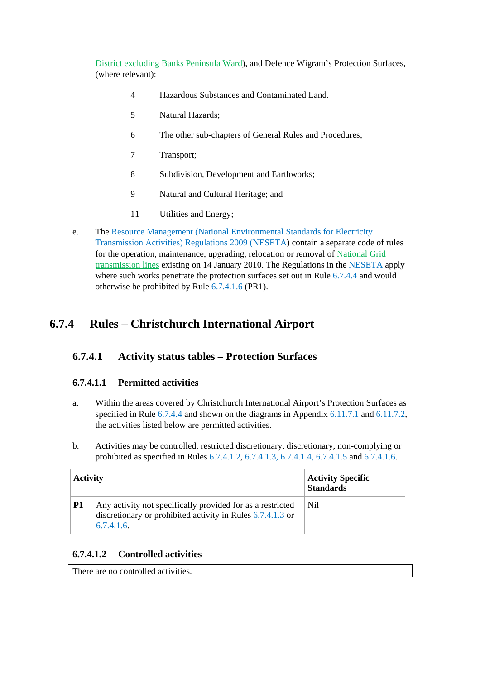District excluding Banks Peninsula Ward), and Defence Wigram's Protection Surfaces, (where relevant):

- 4 Hazardous Substances and Contaminated Land.
- 5 Natural Hazards;
- 6 The other sub-chapters of General Rules and Procedures;
- 7 Transport;
- 8 Subdivision, Development and Earthworks;
- 9 Natural and Cultural Heritage; and
- 11 Utilities and Energy;
- e. The Resource Management (National Environmental Standards for Electricity Transmission Activities) Regulations 2009 (NESETA) contain a separate code of rules for the operation, maintenance, upgrading, relocation or removal of National Grid transmission lines existing on 14 January 2010. The Regulations in the NESETA apply where such works penetrate the protection surfaces set out in Rule 6.7.4.4 and would otherwise be prohibited by Rule 6.7.4.1.6 (PR1).

# **6.7.4 Rules – Christchurch International Airport**

# **6.7.4.1 Activity status tables – Protection Surfaces**

## **6.7.4.1.1 Permitted activities**

- a. Within the areas covered by Christchurch International Airport's Protection Surfaces as specified in Rule 6.7.4.4 and shown on the diagrams in Appendix 6.11.7.1 and 6.11.7.2, the activities listed below are permitted activities.
- b. Activities may be controlled, restricted discretionary, discretionary, non-complying or prohibited as specified in Rules 6.7.4.1.2, 6.7.4.1.3, 6.7.4.1.4, 6.7.4.1.5 and 6.7.4.1.6.

| <b>Activity</b> |                                                                                                                                        | <b>Activity Specific</b><br><b>Standards</b> |
|-----------------|----------------------------------------------------------------------------------------------------------------------------------------|----------------------------------------------|
| <b>P1</b>       | Any activity not specifically provided for as a restricted<br>discretionary or prohibited activity in Rules 6.7.4.1.3 or<br>6.7.4.1.6. | Nil.                                         |

## **6.7.4.1.2 Controlled activities**

There are no controlled activities.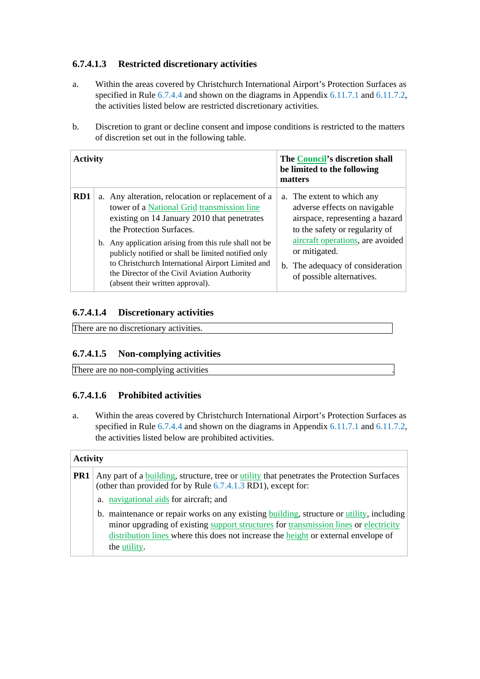## **6.7.4.1.3 Restricted discretionary activities**

- a. Within the areas covered by Christchurch International Airport's Protection Surfaces as specified in Rule 6.7.4.4 and shown on the diagrams in Appendix 6.11.7.1 and 6.11.7.2, the activities listed below are restricted discretionary activities.
- b. Discretion to grant or decline consent and impose conditions is restricted to the matters of discretion set out in the following table.

| <b>Activity</b> |  | The Council's discretion shall<br>be limited to the following<br>matters                                                                                                                                                                               |  |                                                                                                                                 |
|-----------------|--|--------------------------------------------------------------------------------------------------------------------------------------------------------------------------------------------------------------------------------------------------------|--|---------------------------------------------------------------------------------------------------------------------------------|
| RD1             |  | a. Any alteration, relocation or replacement of a<br>tower of a National Grid transmission line<br>existing on 14 January 2010 that penetrates<br>the Protection Surfaces.                                                                             |  | a. The extent to which any<br>adverse effects on navigable<br>airspace, representing a hazard<br>to the safety or regularity of |
|                 |  | b. Any application arising from this rule shall not be<br>publicly notified or shall be limited notified only<br>to Christchurch International Airport Limited and<br>the Director of the Civil Aviation Authority<br>(absent their written approval). |  | aircraft operations, are avoided<br>or mitigated.<br>b. The adequacy of consideration<br>of possible alternatives.              |

## **6.7.4.1.4 Discretionary activities**

There are no discretionary activities.

## **6.7.4.1.5 Non-complying activities**

There are no non-complying activities

## **6.7.4.1.6 Prohibited activities**

a. Within the areas covered by Christchurch International Airport's Protection Surfaces as specified in Rule 6.7.4.4 and shown on the diagrams in Appendix 6.11.7.1 and 6.11.7.2, the activities listed below are prohibited activities.

#### **Activity**

| PR1 | Any part of a building, structure, tree or utility that penetrates the Protection Surfaces<br>(other than provided for by Rule 6.7.4.1.3 RD1), except for: |
|-----|------------------------------------------------------------------------------------------------------------------------------------------------------------|
|     | a. navigational aids for aircraft; and                                                                                                                     |
|     | b. maintenance or repair works on any existing building, structure or utility, including                                                                   |
|     | minor upgrading of existing support structures for transmission lines or electricity                                                                       |
|     | distribution lines where this does not increase the height or external envelope of                                                                         |
|     | the utility.                                                                                                                                               |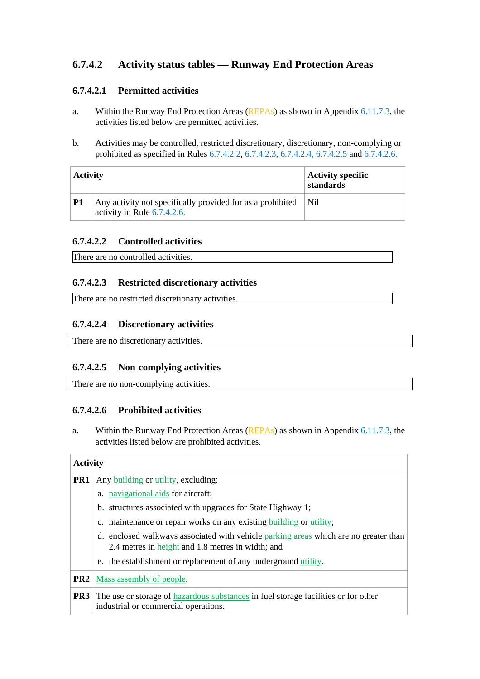# **6.7.4.2 Activity status tables — Runway End Protection Areas**

## **6.7.4.2.1 Permitted activities**

- a. Within the Runway End Protection Areas (REPAs) as shown in Appendix 6.11.7.3, the activities listed below are permitted activities.
- b. Activities may be controlled, restricted discretionary, discretionary, non-complying or prohibited as specified in Rules 6.7.4.2.2, 6.7.4.2.3, 6.7.4.2.4, 6.7.4.2.5 and 6.7.4.2.6.

| <b>Activity</b> |                                                                                              | Activity specific<br>standards |
|-----------------|----------------------------------------------------------------------------------------------|--------------------------------|
| <b>P1</b>       | Any activity not specifically provided for as a prohibited<br>activity in Rule $6.7.4.2.6$ . | Nil.                           |

#### **6.7.4.2.2 Controlled activities**

There are no controlled activities.

#### **6.7.4.2.3 Restricted discretionary activities**

There are no restricted discretionary activities.

#### **6.7.4.2.4 Discretionary activities**

There are no discretionary activities.

#### **6.7.4.2.5 Non-complying activities**

There are no non-complying activities.

#### **6.7.4.2.6 Prohibited activities**

a. Within the Runway End Protection Areas (REPAs) as shown in Appendix 6.11.7.3, the activities listed below are prohibited activities.

#### **Activity**

| PR <sub>1</sub> | Any building or utility, excluding:                                                                                                       |  |  |
|-----------------|-------------------------------------------------------------------------------------------------------------------------------------------|--|--|
|                 | a. navigational aids for aircraft;                                                                                                        |  |  |
|                 | b. structures associated with upgrades for State Highway 1;                                                                               |  |  |
|                 | c. maintenance or repair works on any existing building or utility;                                                                       |  |  |
|                 | d. enclosed walkways associated with vehicle parking areas which are no greater than<br>2.4 metres in height and 1.8 metres in width; and |  |  |
|                 | e. the establishment or replacement of any underground utility.                                                                           |  |  |
|                 | <b>PR2</b>   Mass assembly of people.                                                                                                     |  |  |
| PR <sub>3</sub> | The use or storage of hazardous substances in fuel storage facilities or for other<br>industrial or commercial operations.                |  |  |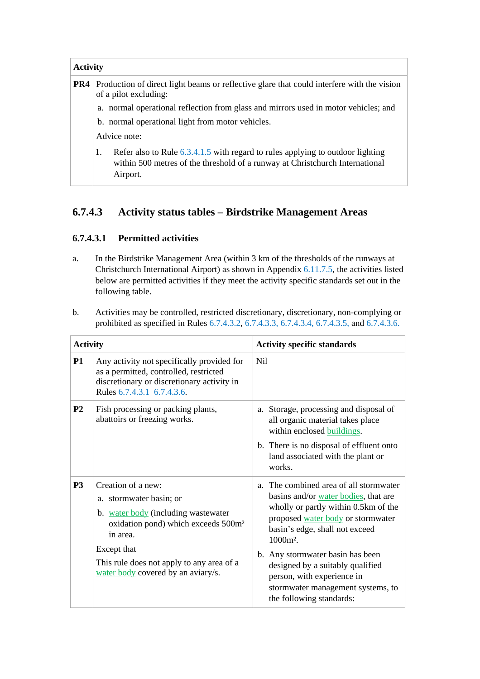| <b>Activity</b> |                                                                                                                                                                                    |  |  |  |
|-----------------|------------------------------------------------------------------------------------------------------------------------------------------------------------------------------------|--|--|--|
| PR4             | Production of direct light beams or reflective glare that could interfere with the vision<br>of a pilot excluding:                                                                 |  |  |  |
|                 | a. normal operational reflection from glass and mirrors used in motor vehicles; and                                                                                                |  |  |  |
|                 | b. normal operational light from motor vehicles.                                                                                                                                   |  |  |  |
|                 | Advice note:                                                                                                                                                                       |  |  |  |
|                 | Refer also to Rule $6.3.4.1.5$ with regard to rules applying to outdoor lighting<br>1.<br>within 500 metres of the threshold of a runway at Christchurch International<br>Airport. |  |  |  |

# **6.7.4.3 Activity status tables – Birdstrike Management Areas**

## **6.7.4.3.1 Permitted activities**

a. In the Birdstrike Management Area (within 3 km of the thresholds of the runways at Christchurch International Airport) as shown in Appendix 6.11.7.5, the activities listed below are permitted activities if they meet the activity specific standards set out in the following table.

| Activities may be controlled, restricted discretionary, discretionary, non-complying or     |
|---------------------------------------------------------------------------------------------|
| prohibited as specified in Rules 6.7.4.3.2, 6.7.4.3.3, 6.7.4.3.4, 6.7.4.3.5, and 6.7.4.3.6. |
|                                                                                             |

| <b>Activity</b> |                                                                                                                                                                                                                                                       | <b>Activity specific standards</b>                                                                                                                                                                                                                                                                                                                                                  |  |  |
|-----------------|-------------------------------------------------------------------------------------------------------------------------------------------------------------------------------------------------------------------------------------------------------|-------------------------------------------------------------------------------------------------------------------------------------------------------------------------------------------------------------------------------------------------------------------------------------------------------------------------------------------------------------------------------------|--|--|
| <b>P1</b>       | Any activity not specifically provided for<br>as a permitted, controlled, restricted<br>discretionary or discretionary activity in<br>Rules 6.7.4.3.1 6.7.4.3.6.                                                                                      | N <sub>il</sub>                                                                                                                                                                                                                                                                                                                                                                     |  |  |
| <b>P2</b>       | Fish processing or packing plants,<br>abattoirs or freezing works.                                                                                                                                                                                    | a. Storage, processing and disposal of<br>all organic material takes place<br>within enclosed buildings.<br>b. There is no disposal of effluent onto<br>land associated with the plant or<br>works.                                                                                                                                                                                 |  |  |
| P <sub>3</sub>  | Creation of a new:<br>a. stormwater basin; or<br>b. water body (including wastewater<br>oxidation pond) which exceeds 500m <sup>2</sup><br>in area.<br>Except that<br>This rule does not apply to any area of a<br>water body covered by an aviary/s. | a. The combined area of all stormwater<br>basins and/or water bodies, that are<br>wholly or partly within 0.5km of the<br>proposed water body or stormwater<br>basin's edge, shall not exceed<br>$1000m^2$ .<br>b. Any stormwater basin has been<br>designed by a suitably qualified<br>person, with experience in<br>stormwater management systems, to<br>the following standards: |  |  |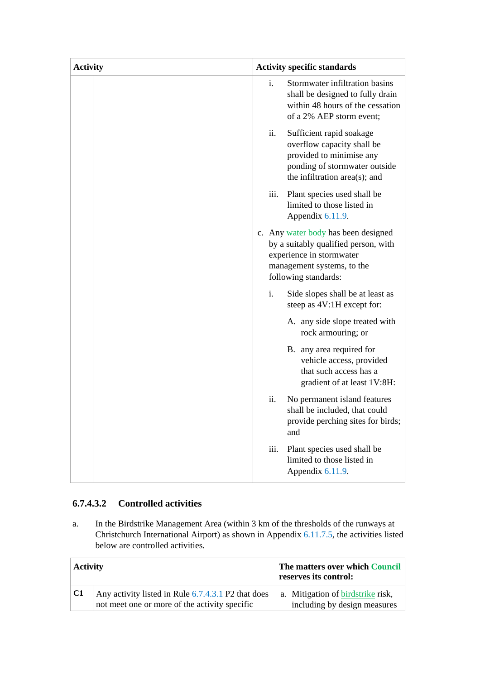| <b>Activity</b> | <b>Activity specific standards</b>                                                                                                                            |  |
|-----------------|---------------------------------------------------------------------------------------------------------------------------------------------------------------|--|
|                 | i.<br>Stormwater infiltration basins<br>shall be designed to fully drain<br>within 48 hours of the cessation<br>of a 2% AEP storm event;                      |  |
|                 | ii.<br>Sufficient rapid soakage<br>overflow capacity shall be<br>provided to minimise any<br>ponding of stormwater outside<br>the infiltration area(s); and   |  |
|                 | iii.<br>Plant species used shall be<br>limited to those listed in<br>Appendix 6.11.9.                                                                         |  |
|                 | c. Any water body has been designed<br>by a suitably qualified person, with<br>experience in stormwater<br>management systems, to the<br>following standards: |  |
|                 | i.<br>Side slopes shall be at least as<br>steep as 4V:1H except for:                                                                                          |  |
|                 | A. any side slope treated with<br>rock armouring; or                                                                                                          |  |
|                 | B. any area required for<br>vehicle access, provided<br>that such access has a<br>gradient of at least 1V:8H:                                                 |  |
|                 | ii.<br>No permanent island features<br>shall be included, that could<br>provide perching sites for birds;<br>and                                              |  |
|                 | iii.<br>Plant species used shall be<br>limited to those listed in<br>Appendix 6.11.9.                                                                         |  |

## **6.7.4.3.2 Controlled activities**

a. In the Birdstrike Management Area (within 3 km of the thresholds of the runways at Christchurch International Airport) as shown in Appendix 6.11.7.5, the activities listed below are controlled activities.

| <b>Activity</b> |                                                                                                     | The matters over which Council<br>reserves its control:           |  |
|-----------------|-----------------------------------------------------------------------------------------------------|-------------------------------------------------------------------|--|
| $ {\rm C1}$     | Any activity listed in Rule 6.7.4.3.1 P2 that does<br>not meet one or more of the activity specific | a. Mitigation of birdstrike risk,<br>including by design measures |  |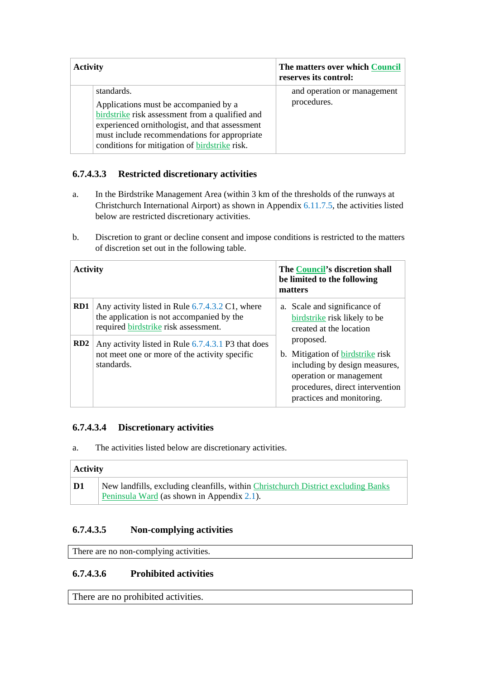| <b>Activity</b>                                                                                                                                                                                                                                                  | The matters over which Council<br>reserves its control: |  |
|------------------------------------------------------------------------------------------------------------------------------------------------------------------------------------------------------------------------------------------------------------------|---------------------------------------------------------|--|
| standards.<br>Applications must be accompanied by a<br>birdstrike risk assessment from a qualified and<br>experienced ornithologist, and that assessment<br>must include recommendations for appropriate<br>conditions for mitigation of <b>birdstrike</b> risk. | and operation or management<br>procedures.              |  |

## **6.7.4.3.3 Restricted discretionary activities**

- a. In the Birdstrike Management Area (within 3 km of the thresholds of the runways at Christchurch International Airport) as shown in Appendix 6.11.7.5, the activities listed below are restricted discretionary activities.
- b. Discretion to grant or decline consent and impose conditions is restricted to the matters of discretion set out in the following table.

| <b>Activity</b> |                                                                                                                                      | The Council's discretion shall<br>be limited to the following<br>matters |                                                                                                                                                                           |
|-----------------|--------------------------------------------------------------------------------------------------------------------------------------|--------------------------------------------------------------------------|---------------------------------------------------------------------------------------------------------------------------------------------------------------------------|
| RD <sub>1</sub> | Any activity listed in Rule 6.7.4.3.2 C1, where<br>the application is not accompanied by the<br>required birdstrike risk assessment. |                                                                          | a. Scale and significance of<br>birdstrike risk likely to be<br>created at the location                                                                                   |
| RD2             | Any activity listed in Rule 6.7.4.3.1 P3 that does<br>not meet one or more of the activity specific<br>standards.                    |                                                                          | proposed.<br>b. Mitigation of birdstrike risk<br>including by design measures,<br>operation or management<br>procedures, direct intervention<br>practices and monitoring. |

## **6.7.4.3.4 Discretionary activities**

a. The activities listed below are discretionary activities.

# **Activity D1** New landfills, excluding cleanfills, within Christchurch District excluding Banks Peninsula Ward (as shown in Appendix 2.1).

## **6.7.4.3.5 Non-complying activities**

There are no non-complying activities.

## **6.7.4.3.6 Prohibited activities**

There are no prohibited activities.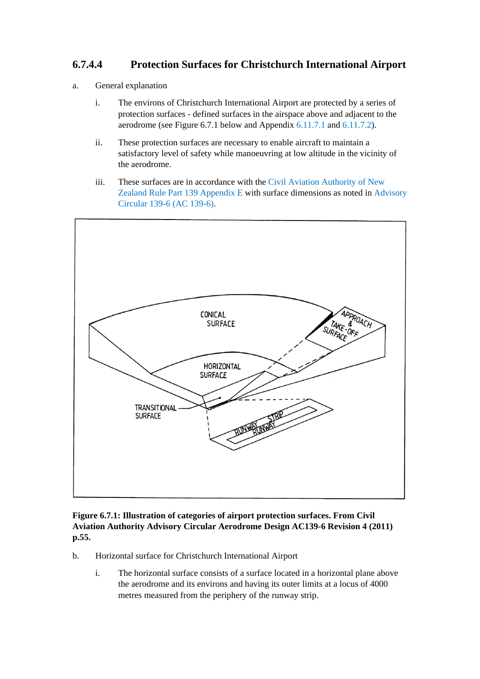# **6.7.4.4 Protection Surfaces for Christchurch International Airport**

- a. General explanation
	- i. The environs of Christchurch International Airport are protected by a series of protection surfaces - defined surfaces in the airspace above and adjacent to the aerodrome (see Figure 6.7.1 below and Appendix 6.11.7.1 and 6.11.7.2).
	- ii. These protection surfaces are necessary to enable aircraft to maintain a satisfactory level of safety while manoeuvring at low altitude in the vicinity of the aerodrome.
	- iii. These surfaces are in accordance with the Civil Aviation Authority of New Zealand Rule Part 139 Appendix E with surface dimensions as noted in Advisory Circular 139-6 (AC 139-6).



**Figure 6.7.1: Illustration of categories of airport protection surfaces. From Civil Aviation Authority Advisory Circular Aerodrome Design AC139-6 Revision 4 (2011) p.55.** 

- b. Horizontal surface for Christchurch International Airport
	- i. The horizontal surface consists of a surface located in a horizontal plane above the aerodrome and its environs and having its outer limits at a locus of 4000 metres measured from the periphery of the runway strip.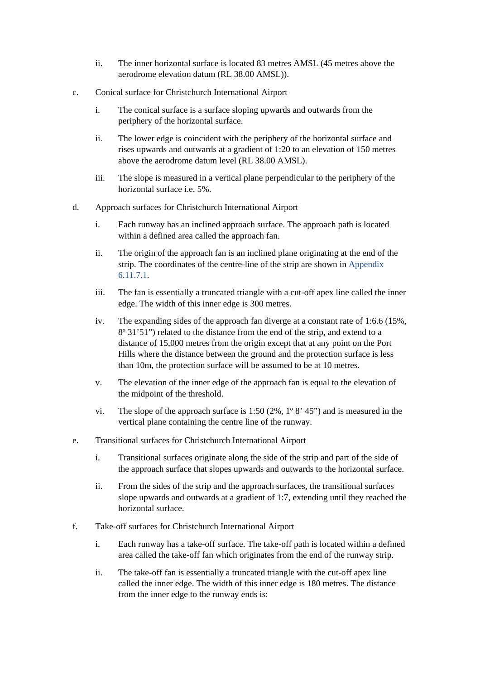- ii. The inner horizontal surface is located 83 metres AMSL (45 metres above the aerodrome elevation datum (RL 38.00 AMSL)).
- c. Conical surface for Christchurch International Airport
	- i. The conical surface is a surface sloping upwards and outwards from the periphery of the horizontal surface.
	- ii. The lower edge is coincident with the periphery of the horizontal surface and rises upwards and outwards at a gradient of 1:20 to an elevation of 150 metres above the aerodrome datum level (RL 38.00 AMSL).
	- iii. The slope is measured in a vertical plane perpendicular to the periphery of the horizontal surface i.e. 5%.
- d. Approach surfaces for Christchurch International Airport
	- i. Each runway has an inclined approach surface. The approach path is located within a defined area called the approach fan.
	- ii. The origin of the approach fan is an inclined plane originating at the end of the strip. The coordinates of the centre-line of the strip are shown in Appendix 6.11.7.1.
	- iii. The fan is essentially a truncated triangle with a cut-off apex line called the inner edge. The width of this inner edge is 300 metres.
	- iv. The expanding sides of the approach fan diverge at a constant rate of 1:6.6 (15%, 8º 31'51") related to the distance from the end of the strip, and extend to a distance of 15,000 metres from the origin except that at any point on the Port Hills where the distance between the ground and the protection surface is less than 10m, the protection surface will be assumed to be at 10 metres.
	- v. The elevation of the inner edge of the approach fan is equal to the elevation of the midpoint of the threshold.
	- vi. The slope of the approach surface is 1:50  $(2\%, 1\degree 8\degree 45)$  and is measured in the vertical plane containing the centre line of the runway.
- e. Transitional surfaces for Christchurch International Airport
	- i. Transitional surfaces originate along the side of the strip and part of the side of the approach surface that slopes upwards and outwards to the horizontal surface.
	- ii. From the sides of the strip and the approach surfaces, the transitional surfaces slope upwards and outwards at a gradient of 1:7, extending until they reached the horizontal surface.
- f. Take-off surfaces for Christchurch International Airport
	- i. Each runway has a take-off surface. The take-off path is located within a defined area called the take-off fan which originates from the end of the runway strip.
	- ii. The take-off fan is essentially a truncated triangle with the cut-off apex line called the inner edge. The width of this inner edge is 180 metres. The distance from the inner edge to the runway ends is: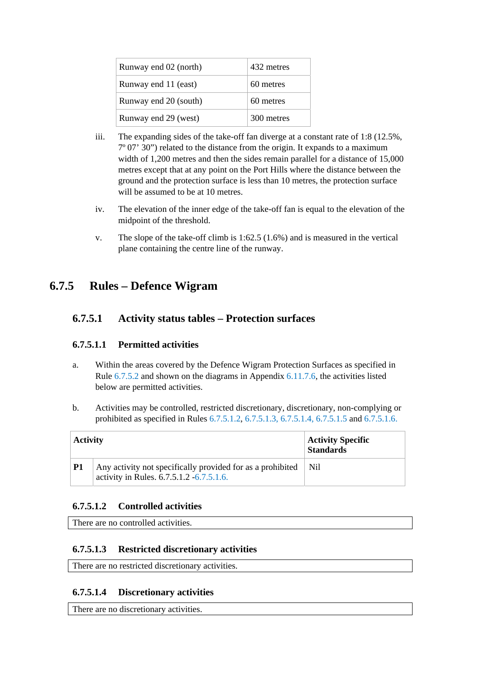| Runway end 02 (north) | 432 metres |
|-----------------------|------------|
| Runway end 11 (east)  | 60 metres  |
| Runway end 20 (south) | 60 metres  |
| Runway end 29 (west)  | 300 metres |

- iii. The expanding sides of the take-off fan diverge at a constant rate of 1:8 (12.5%, 7º 07' 30") related to the distance from the origin. It expands to a maximum width of 1,200 metres and then the sides remain parallel for a distance of 15,000 metres except that at any point on the Port Hills where the distance between the ground and the protection surface is less than 10 metres, the protection surface will be assumed to be at 10 metres.
- iv. The elevation of the inner edge of the take-off fan is equal to the elevation of the midpoint of the threshold.
- v. The slope of the take-off climb is 1:62.5 (1.6%) and is measured in the vertical plane containing the centre line of the runway.

# **6.7.5 Rules – Defence Wigram**

## **6.7.5.1 Activity status tables – Protection surfaces**

## **6.7.5.1.1 Permitted activities**

- a. Within the areas covered by the Defence Wigram Protection Surfaces as specified in Rule 6.7.5.2 and shown on the diagrams in Appendix 6.11.7.6, the activities listed below are permitted activities.
- b. Activities may be controlled, restricted discretionary, discretionary, non-complying or prohibited as specified in Rules 6.7.5.1.2, 6.7.5.1.3, 6.7.5.1.4, 6.7.5.1.5 and 6.7.5.1.6.

| <b>Activity</b> |                                                                                                        | <b>Activity Specific</b><br><b>Standards</b> |
|-----------------|--------------------------------------------------------------------------------------------------------|----------------------------------------------|
| P1              | Any activity not specifically provided for as a prohibited<br>activity in Rules. 6.7.5.1.2 -6.7.5.1.6. | Ni1                                          |

## **6.7.5.1.2 Controlled activities**

There are no controlled activities.

## **6.7.5.1.3 Restricted discretionary activities**

There are no restricted discretionary activities.

## **6.7.5.1.4 Discretionary activities**

There are no discretionary activities.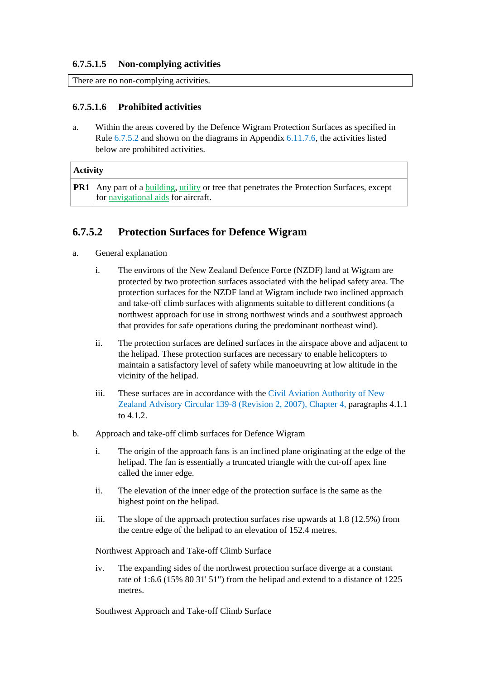#### **6.7.5.1.5 Non-complying activities**

There are no non-complying activities.

### **6.7.5.1.6 Prohibited activities**

a. Within the areas covered by the Defence Wigram Protection Surfaces as specified in Rule 6.7.5.2 and shown on the diagrams in Appendix 6.11.7.6, the activities listed below are prohibited activities.

| <b>Activity</b> |                                                                                                                                           |  |
|-----------------|-------------------------------------------------------------------------------------------------------------------------------------------|--|
|                 | <b>PR1</b> Any part of a building, utility or tree that penetrates the Protection Surfaces, except<br>for navigational aids for aircraft. |  |

## **6.7.5.2 Protection Surfaces for Defence Wigram**

- a. General explanation
	- i. The environs of the New Zealand Defence Force (NZDF) land at Wigram are protected by two protection surfaces associated with the helipad safety area. The protection surfaces for the NZDF land at Wigram include two inclined approach and take-off climb surfaces with alignments suitable to different conditions (a northwest approach for use in strong northwest winds and a southwest approach that provides for safe operations during the predominant northeast wind).
	- ii. The protection surfaces are defined surfaces in the airspace above and adjacent to the helipad. These protection surfaces are necessary to enable helicopters to maintain a satisfactory level of safety while manoeuvring at low altitude in the vicinity of the helipad.
	- iii. These surfaces are in accordance with the Civil Aviation Authority of New Zealand Advisory Circular 139-8 (Revision 2, 2007), Chapter 4, paragraphs 4.1.1 to 4.1.2.
- b. Approach and take-off climb surfaces for Defence Wigram
	- i. The origin of the approach fans is an inclined plane originating at the edge of the helipad. The fan is essentially a truncated triangle with the cut-off apex line called the inner edge.
	- ii. The elevation of the inner edge of the protection surface is the same as the highest point on the helipad.
	- iii. The slope of the approach protection surfaces rise upwards at 1.8 (12.5%) from the centre edge of the helipad to an elevation of 152.4 metres.

Northwest Approach and Take-off Climb Surface

iv. The expanding sides of the northwest protection surface diverge at a constant rate of 1:6.6 (15% 80 31' 51") from the helipad and extend to a distance of 1225 metres.

Southwest Approach and Take-off Climb Surface